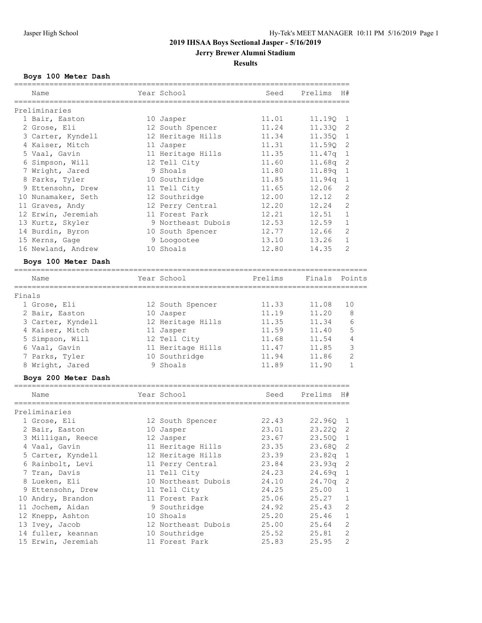# **Jerry Brewer Alumni Stadium**

# **Results**

# **Boys 100 Meter Dash**

|        | Name                | Year School         | Seed                                  | Prelims | H#             |
|--------|---------------------|---------------------|---------------------------------------|---------|----------------|
|        |                     |                     | ===================================== |         |                |
|        | Preliminaries       |                     |                                       |         |                |
|        | 1 Bair, Easton      | 10 Jasper           | 11.01                                 | 11.19Q  | 1              |
|        | 2 Grose, Eli        | 12 South Spencer    | 11.24                                 | 11.330  | 2              |
|        | 3 Carter, Kyndell   | 12 Heritage Hills   | 11.34                                 | 11.35Q  | 1              |
|        | 4 Kaiser, Mitch     | 11 Jasper           | 11.31                                 | 11.59Q  | 2              |
|        | 5 Vaal, Gavin       | 11 Heritage Hills   | 11.35                                 | 11.47q  | 1              |
|        | 6 Simpson, Will     | 12 Tell City        | 11.60                                 | 11.68q  | 2              |
|        | 7 Wright, Jared     | 9 Shoals            | 11.80                                 | 11.89q  | 1              |
|        | 8 Parks, Tyler      | 10 Southridge       | 11.85                                 | 11.94q  | 1              |
|        | 9 Ettensohn, Drew   | 11 Tell City        | 11.65                                 | 12.06   | 2              |
|        | 10 Nunamaker, Seth  | 12 Southridge       | 12.00                                 | 12.12   | 2              |
|        | 11 Graves, Andy     | 12 Perry Central    | 12.20                                 | 12.24   | $\overline{2}$ |
|        | 12 Erwin, Jeremiah  | 11 Forest Park      | 12.21                                 | 12.51   | $\mathbf{1}$   |
|        | 13 Kurtz, Skyler    | 9 Northeast Dubois  | 12.53                                 | 12.59   | $\mathbf{1}$   |
|        | 14 Burdin, Byron    | 10 South Spencer    | 12.77                                 | 12.66   | 2              |
|        | 15 Kerns, Gage      | 9 Loogootee         | 13.10                                 | 13.26   | 1              |
|        | 16 Newland, Andrew  | 10 Shoals           | 12.80                                 | 14.35   | 2              |
|        | Boys 100 Meter Dash |                     |                                       |         |                |
|        | Name                | Year School         | Prelims                               | Finals  | Points         |
|        | ===========         |                     |                                       |         |                |
| Finals |                     |                     |                                       |         |                |
|        | 1 Grose, Eli        | 12 South Spencer    | 11.33                                 | 11.08   | 10             |
|        | 2 Bair, Easton      | 10 Jasper           | 11.19                                 | 11.20   | 8              |
|        | 3 Carter, Kyndell   | 12 Heritage Hills   | 11.35                                 | 11.34   | 6              |
|        | 4 Kaiser, Mitch     | 11 Jasper           | 11.59                                 | 11.40   | 5              |
|        | 5 Simpson, Will     | 12 Tell City        | 11.68                                 | 11.54   | 4              |
|        | 6 Vaal, Gavin       | 11 Heritage Hills   | 11.47                                 | 11.85   | 3              |
|        | 7 Parks, Tyler      | 10 Southridge       | 11.94                                 | 11.86   | $\overline{2}$ |
|        | 8 Wright, Jared     | 9 Shoals            | 11.89                                 | 11.90   | $\mathbf{1}$   |
|        | Boys 200 Meter Dash |                     |                                       |         |                |
|        | Name                | Year School         | Seed                                  | Prelims | H#             |
|        |                     |                     |                                       |         |                |
|        | Preliminaries       |                     |                                       |         |                |
|        | 1 Grose, Eli        | 12 South Spencer    | 22.43                                 | 22.96Q  | 1              |
|        | 2 Bair, Easton      | 10 Jasper           | 23.01                                 | 23.220  | 2              |
|        | 3 Milligan, Reece   | 12 Jasper           | 23.67                                 | 23.50Q  | 1              |
|        | 4 Vaal, Gavin       | 11 Heritage Hills   | 23.35                                 | 23.68Q  | 2              |
|        | 5 Carter, Kyndell   | 12 Heritage Hills   | 23.39                                 | 23.82q  | 1              |
|        | 6 Rainbolt, Levi    | 11 Perry Central    | 23.84                                 | 23.93q  | $\mathbf{2}$   |
|        | 7 Tran, Davis       | 11 Tell City        | 24.23                                 | 24.69q  | $\mathbf{1}$   |
|        | 8 Lueken, Eli       | 10 Northeast Dubois | 24.10                                 | 24.70q  | 2              |
|        | 9 Ettensohn, Drew   | 11 Tell City        | 24.25                                 | 25.00   | 1              |
|        | 10 Andry, Brandon   | 11 Forest Park      | 25.06                                 | 25.27   | 1              |
|        | 11 Jochem, Aidan    | 9 Southridge        | 24.92                                 | 25.43   | $\mathbf{2}$   |
|        | 12 Knepp, Ashton    | 10 Shoals           | 25.20                                 | 25.46   | $\mathbf{1}$   |
|        | 13 Ivey, Jacob      | 12 Northeast Dubois | 25.00                                 | 25.64   | $\sqrt{2}$     |
|        | 14 fuller, keannan  | 10 Southridge       | 25.52                                 | 25.81   | $\sqrt{2}$     |
|        | 15 Erwin, Jeremiah  | 11 Forest Park      | 25.83                                 | 25.95   | $\mathbf{2}$   |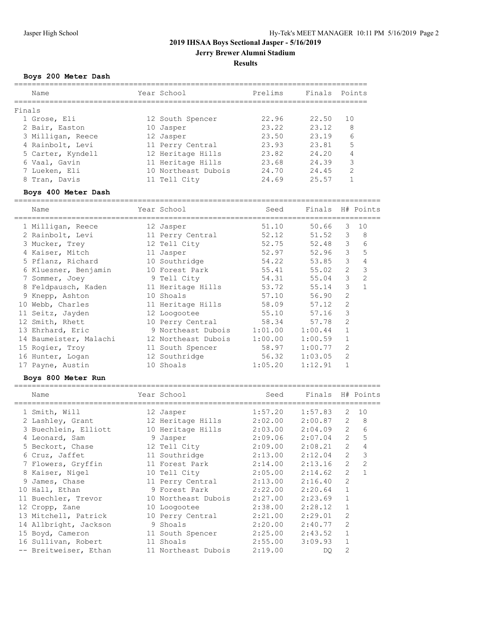**Jerry Brewer Alumni Stadium**

### **Results**

# **Boys 200 Meter Dash**

| Name              | Year School         | Prelims | Finals | Points        |
|-------------------|---------------------|---------|--------|---------------|
|                   |                     |         |        |               |
| Finals            |                     |         |        |               |
| 1 Grose, Eli      | 12 South Spencer    | 22.96   | 22.50  | 10            |
| 2 Bair, Easton    | 10 Jasper           | 23.22   | 23.12  | 8             |
| 3 Milligan, Reece | 12 Jasper           | 23.50   | 23.19  | 6             |
| 4 Rainbolt, Levi  | 11 Perry Central    | 23.93   | 23.81  | 5             |
| 5 Carter, Kyndell | 12 Heritage Hills   | 23.82   | 24.20  | 4             |
| 6 Vaal, Gavin     | 11 Heritage Hills   | 23.68   | 24.39  | 3             |
| 7 Lueken, Eli     | 10 Northeast Dubois | 24.70   | 24.45  | $\mathcal{D}$ |
| 8 Tran, Davis     | 11 Tell City        | 24.69   | 25.57  |               |

# **Boys 400 Meter Dash**

| Name          |                                                                                                                                                                                                                                                                                                                                           | Seed                                                                                                                                                                                                                                                                                                                  |         |                |                  |
|---------------|-------------------------------------------------------------------------------------------------------------------------------------------------------------------------------------------------------------------------------------------------------------------------------------------------------------------------------------------|-----------------------------------------------------------------------------------------------------------------------------------------------------------------------------------------------------------------------------------------------------------------------------------------------------------------------|---------|----------------|------------------|
|               |                                                                                                                                                                                                                                                                                                                                           | 51.10                                                                                                                                                                                                                                                                                                                 | 50.66   | 3              | 10               |
|               |                                                                                                                                                                                                                                                                                                                                           | 52.12                                                                                                                                                                                                                                                                                                                 | 51.52   | 3              | 8                |
|               |                                                                                                                                                                                                                                                                                                                                           | 52.75                                                                                                                                                                                                                                                                                                                 | 52.48   | 3              | 6                |
|               |                                                                                                                                                                                                                                                                                                                                           | 52.97                                                                                                                                                                                                                                                                                                                 | 52.96   | 3              | 5                |
|               |                                                                                                                                                                                                                                                                                                                                           | 54.22                                                                                                                                                                                                                                                                                                                 | 53.85   | 3              | 4                |
|               |                                                                                                                                                                                                                                                                                                                                           | 55.41                                                                                                                                                                                                                                                                                                                 | 55.02   | 2              | 3                |
|               |                                                                                                                                                                                                                                                                                                                                           |                                                                                                                                                                                                                                                                                                                       | 55.04   | 3              | $\overline{2}$   |
|               |                                                                                                                                                                                                                                                                                                                                           | 53.72                                                                                                                                                                                                                                                                                                                 | 55.14   | 3              | $\mathbf{1}$     |
|               |                                                                                                                                                                                                                                                                                                                                           | 57.10                                                                                                                                                                                                                                                                                                                 | 56.90   | $\overline{2}$ |                  |
| Webb, Charles |                                                                                                                                                                                                                                                                                                                                           | 58.09                                                                                                                                                                                                                                                                                                                 | 57.12   | $\overline{2}$ |                  |
|               |                                                                                                                                                                                                                                                                                                                                           | 55.10                                                                                                                                                                                                                                                                                                                 | 57.16   | 3              |                  |
|               |                                                                                                                                                                                                                                                                                                                                           | 58.34                                                                                                                                                                                                                                                                                                                 | 57.78   | 2              |                  |
|               |                                                                                                                                                                                                                                                                                                                                           | 1:01.00                                                                                                                                                                                                                                                                                                               | 1:00.44 | 1              |                  |
|               |                                                                                                                                                                                                                                                                                                                                           | 1:00.00                                                                                                                                                                                                                                                                                                               | 1:00.59 | 1              |                  |
|               |                                                                                                                                                                                                                                                                                                                                           | 58.97                                                                                                                                                                                                                                                                                                                 | 1:00.77 | $\overline{2}$ |                  |
|               |                                                                                                                                                                                                                                                                                                                                           | 56.32                                                                                                                                                                                                                                                                                                                 | 1:03.05 | 2              |                  |
|               |                                                                                                                                                                                                                                                                                                                                           | 1:05.20                                                                                                                                                                                                                                                                                                               | 1:12.91 | 1              |                  |
|               | 1 Milligan, Reece<br>2 Rainbolt, Levi<br>3 Mucker, Trey<br>4 Kaiser, Mitch<br>5 Pflanz, Richard<br>6 Kluesner, Benjamin<br>7 Sommer, Joey<br>8 Feldpausch, Kaden<br>9 Knepp, Ashton<br>10<br>11 Seitz, Jayden<br>12 Smith, Rhett<br>13 Ehrhard, Eric<br>14 Baumeister, Malachi<br>15 Rogier, Troy<br>16 Hunter, Logan<br>17 Payne, Austin | Year School<br>12 Jasper<br>11 Perry Central<br>12 Tell City<br>11 Jasper<br>10 Southridge<br>10 Forest Park<br>9 Tell City<br>11 Heritage Hills<br>10 Shoals<br>11 Heritage Hills<br>12 Loogootee<br>10 Perry Central<br>9 Northeast Dubois<br>12 Northeast Dubois<br>11 South Spencer<br>12 Southridge<br>10 Shoals |         | 54.31          | Finals H# Points |

#### **Boys 800 Meter Run**

| Name                                   | Year School         | Seed    | Finals H# Points |                |                |
|----------------------------------------|---------------------|---------|------------------|----------------|----------------|
| 1 Smith, Will                          | 12 Jasper           | 1:57.20 | 1:57.83          | 2              | 10             |
| 2 Lashley, Grant                       | 12 Heritage Hills   | 2:02.00 | 2:00.87          | $\overline{2}$ | 8              |
| 3 Buechlein, Elliott 10 Heritage Hills |                     | 2:03.00 | 2:04.09          | 2              | 6              |
| 4 Leonard, Sam                         | 9 Jasper            | 2:09.06 | 2:07.04          | $\overline{2}$ | 5              |
| 5 Beckort, Chase                       | 12 Tell City        | 2:09.00 | 2:08.21          | $\overline{2}$ | 4              |
| 6 Cruz, Jaffet                         | 11 Southridge       | 2:13.00 | 2:12.04          | $\overline{2}$ | 3              |
| 7 Flowers, Gryffin                     | 11 Forest Park      | 2:14.00 | 2:13.16          | $\overline{2}$ | 2              |
| 8 Kaiser, Nigel                        | 10 Tell City        | 2:05.00 | 2:14.62          | $\overline{2}$ | $\overline{1}$ |
| 9 James, Chase                         | 11 Perry Central    | 2:13.00 | 2:16.40          | $\overline{2}$ |                |
| 10 Hall, Ethan                         | 9 Forest Park       | 2:22.00 | 2:20.64          | $\mathbf{1}$   |                |
| 11 Buechler, Trevor                    | 10 Northeast Dubois | 2:27.00 | 2:23.69          | $\mathbf{1}$   |                |
| 12 Cropp, Zane                         | 10 Loogootee        | 2:38.00 | 2:28.12          | $\mathbf{1}$   |                |
| 13 Mitchell, Patrick                   | 10 Perry Central    | 2:21.00 | 2:29.01          | $\overline{2}$ |                |
| 14 Allbright, Jackson                  | 9 Shoals            | 2:20.00 | 2:40.77          | 2              |                |
| 15 Boyd, Cameron                       | 11 South Spencer    | 2:25.00 | 2:43.52          | $\mathbf{1}$   |                |
| 16 Sullivan, Robert                    | 11 Shoals           | 2:55.00 | 3:09.93          | $\mathbf{1}$   |                |
| -- Breitweiser, Ethan                  | 11 Northeast Dubois | 2:19.00 | DO.              | $\overline{2}$ |                |
|                                        |                     |         |                  |                |                |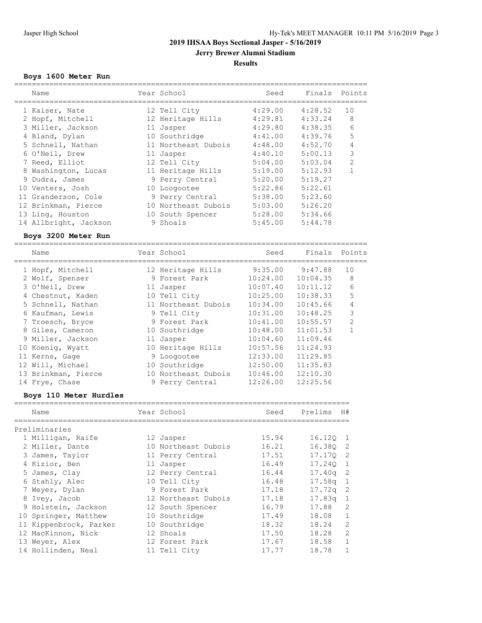**Jerry Brewer Alumni Stadium**

# **Results**

# **Boys 1600 Meter Run**

| Name                   | Year School         | Seed     | Finals   | Points         |
|------------------------|---------------------|----------|----------|----------------|
| 1 Kaiser, Nate         | 12 Tell City        | 4:29.00  | 4:28.52  | 10             |
| 2 Hopf, Mitchell       | 12 Heritage Hills   | 4:29.81  | 4:33.24  | 8              |
| 3 Miller, Jackson      | 11 Jasper           | 4:29.80  | 4:38.35  | 6              |
| 4 Bland, Dylan         | 10 Southridge       | 4:41.00  | 4:39.76  | 5              |
| 5 Schnell, Nathan      | 11 Northeast Dubois | 4:48.00  | 4:52.70  | 4              |
| 6 O'Neil, Drew         | 11 Jasper           | 4:40.10  | 5:00.13  | 3              |
| 7 Reed, Elliot         | 12 Tell City        | 5:04.00  | 5:03.04  | $\overline{2}$ |
| 8 Washington, Lucas    | 11 Heritage Hills   | 5:19.00  | 5:12.93  | $\mathbf{1}$   |
| 9 Dudra, James         | 9 Perry Central     | 5:20.00  | 5:19.27  |                |
| 10 Venters, Josh       | 10 Loogootee        | 5:22.86  | 5:22.61  |                |
| 11 Granderson, Cole    | 9 Perry Central     | 5:38.00  | 5:23.60  |                |
| 12 Brinkman, Pierce    | 10 Northeast Dubois | 5:03.00  | 5:26.20  |                |
| 13 Ling, Houston       | 10 South Spencer    | 5:28.00  | 5:34.66  |                |
| 14 Allbright, Jackson  | 9 Shoals            | 5:45.00  | 5:44.78  |                |
| Boys 3200 Meter Run    |                     |          |          |                |
| Name                   | Year School         | Seed     | Finals   | Points         |
| 1 Hopf, Mitchell       | 12 Heritage Hills   | 9:35.00  | 9:47.88  | 10             |
| 2 Wolf, Spenser        | 9 Forest Park       | 10:24.00 | 10:04.35 | 8              |
| 3 O'Neil, Drew         | 11 Jasper           | 10:07.40 | 10:11.12 | 6              |
| 4 Chestnut, Kaden      | 10 Tell City        | 10:25.00 | 10:38.33 | 5              |
| 5 Schnell, Nathan      | 11 Northeast Dubois | 10:34.00 | 10:45.66 | 4              |
| 6 Kaufman, Lewis       | 9 Tell City         | 10:31.00 | 10:48.25 | 3              |
| 7 Troesch, Bryce       | 9 Forest Park       | 10:41.00 | 10:55.57 | $\overline{2}$ |
| 8 Giles, Cameron       | 10 Southridge       | 10:48.00 | 11:01.53 | 1              |
| 9 Miller, Jackson      | 11 Jasper           | 10:04.60 | 11:09.46 |                |
| 10 Koenig, Wyatt       | 10 Heritage Hills   | 10:57.56 | 11:24.93 |                |
| 11 Kerns, Gage         | 9 Loogootee         | 12:33.00 | 11:29.85 |                |
| 12 Will, Michael       | 10 Southridge       | 12:50.00 | 11:35.83 |                |
| 13 Brinkman, Pierce    | 10 Northeast Dubois | 10:46.00 | 12:10.30 |                |
| 14 Frye, Chase         | 9 Perry Central     | 12:26.00 | 12:25.56 |                |
| Boys 110 Meter Hurdles |                     |          |          |                |
| Name                   | Year School         | Seed     | Prelims  | H#             |
|                        |                     |          |          |                |
| Preliminaries          |                     |          |          |                |
| 1 Milligan, Raife      | 12 Jasper           | 15.94    | 16.12Q   | 1              |
| 2 Miller, Dante        | 10 Northeast Dubois | 16.21    | 16.38Q   | 2              |
| 3 James, Taylor        | 11 Perry Central    | 17.51    | 17.17Q   | 2              |
| 4 Kizior, Ben          | 11 Jasper           | 16.49    | 17.24Q   | 1              |
| 5 James, Clay          | 12 Perry Central    | 16.44    | 17.40q   | $\mathbf{2}$   |
| 6 Stahly, Alec         | 10 Tell City        | 16.48    | 17.58q   | $\mathbf{1}$   |
| 7 Weyer, Dylan         | 9 Forest Park       | 17.18    | 17.72q   | 2              |
| 8 Ivey, Jacob          | 12 Northeast Dubois | 17.18    | 17.83q   | 1              |
| 9 Holstein, Jackson    | 12 South Spencer    | 16.79    | 17.88    | 2              |
| 10 Springer, Matthew   | 10 Southridge       | 17.49    | 18.08    | $\mathbf 1$    |
| 11 Kippenbrock, Parker | 10 Southridge       | 18.32    | 18.24    | 2              |
| 12 MacKinnon, Nick     | 12 Shoals           | 17.50    | 18.28    | $\mathbf{2}$   |
| 13 Weyer, Alex         | 12 Forest Park      | 17.67    | 18.58    | 1              |
| 14 Hollinden, Neal     | 11 Tell City        | 17.77    | 18.78    | 1              |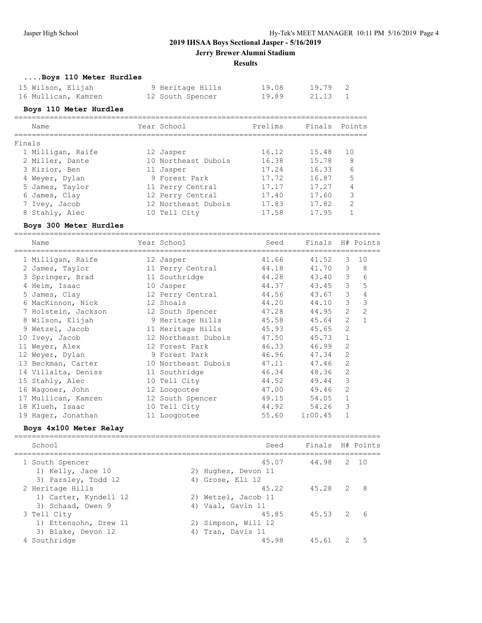**Jerry Brewer Alumni Stadium**

**Results**

# **....Boys 110 Meter Hurdles**

| 15 Wilson, Elijah   | 9 Heritage Hills | 19.08 | 19.79 2 |  |
|---------------------|------------------|-------|---------|--|
| 16 Mullican, Kamren | 12 South Spencer | 19.89 | 21.13 1 |  |

# **Boys 110 Meter Hurdles**

|        | Name              | Year School         | Prelims | Finals | Points |
|--------|-------------------|---------------------|---------|--------|--------|
| Finals |                   |                     |         |        |        |
|        | 1 Milligan, Raife | 12 Jasper           | 16.12   | 15.48  | 10     |
|        | 2 Miller, Dante   | 10 Northeast Dubois | 16.38   | 15.78  | 8      |
|        | 3 Kizior, Ben     | 11 Jasper           | 17.24   | 16.33  | 6      |
|        | 4 Weyer, Dylan    | 9 Forest Park       | 17.72   | 16.87  | 5      |
|        | 5 James, Taylor   | 11 Perry Central    | 17.17   | 17.27  | 4      |
|        | 6 James, Clay     | 12 Perry Central    | 17.40   | 17.60  | 3      |
|        | Ivey, Jacob       | 12 Northeast Dubois | 17.83   | 17.82  | 2      |
|        | 8 Stahly, Alec    | 10 Tell City        | 17.58   | 17.95  |        |

### **Boys 300 Meter Hurdles**

===================================================================================

| Name                                 | Year School<br>==================== | Seed  | Finals H# Points |                |                |
|--------------------------------------|-------------------------------------|-------|------------------|----------------|----------------|
| 1 Milligan, Raife                    | 12 Jasper                           | 41.66 | 41.52            | 3              | 10             |
| 2 James, Taylor 11 Perry Central     |                                     | 44.18 | 41.70            | 3              | 8              |
| 3 Springer, Brad                     | 11 Southridge                       | 44.28 | 43.40            | 3              | 6              |
| 4 Heim, Isaac                        | 10 Jasper                           | 44.37 | 43.45            | 3              | 5              |
| 5 James, Clay                        | 12 Perry Central                    | 44.56 | 43.67            | 3              | 4              |
| 6 MacKinnon, Nick 12 Shoals          |                                     | 44.20 | 44.10            | 3              | $\mathcal{E}$  |
| 7 Holstein, Jackson 12 South Spencer |                                     | 47.28 | 44.95            | $\overline{2}$ | $\overline{c}$ |
| 8 Wilson, Elijah                     | 9 Heritage Hills                    | 45.58 | 45.64            | 2              | $\mathbf{1}$   |
| 9 Wetzel, Jacob                      | 11 Heritage Hills                   | 45.93 | 45.65            | 2              |                |
| 10 Ivey, Jacob                       | 12 Northeast Dubois                 | 47.50 | 45.73            | $\mathbf{1}$   |                |
| 11 Weyer, Alex                       | 12 Forest Park                      | 46.33 | 46.99            | $\mathfrak{D}$ |                |
| 12 Weyer, Dylan                      | 9 Forest Park                       | 46.96 | 47.34            | 2              |                |
| 13 Beckman, Carter                   | 10 Northeast Dubois                 | 47.11 | 47.46            | 2              |                |
| 14 Villalta, Deniss                  | 11 Southridge                       | 46.34 | 48.36            | 2              |                |
| 15 Stahly, Alec 10 Tell City         |                                     | 44.52 | 49.44            | 3              |                |
| 16 Waqoner, John                     | 12 Loogootee                        | 47.00 | 49.46            | 2              |                |
| 17 Mullican, Kamren 12 South Spencer |                                     | 49.15 | 54.05            | $\mathbf 1$    |                |
| 18 Klueh, Isaac                      | 10 Tell City                        | 44.92 | 54.26            | 3              |                |
| 19 Hager, Jonathan                   | 11 Loogootee                        | 55.60 | 1:00.45          | $\mathbf{1}$   |                |

# **Boys 4x100 Meter Relay**

| School                                                    | Seed                                              | Finals H# Points |   |   |
|-----------------------------------------------------------|---------------------------------------------------|------------------|---|---|
| 1 South Spencer<br>1) Kelly, Jace 10                      | 45.07<br>2) Hughes, Devon 11                      | 44.98 2 10       |   |   |
| 3) Parsley, Todd 12<br>2 Heritage Hills                   | 4) Grose, Eli 12<br>45.22                         | 45.28            | 2 | 8 |
| 1) Carter, Kyndell 12<br>3) Schaad, Owen 9<br>3 Tell City | 2) Wetzel, Jacob 11<br>4) Vaal, Gavin 11<br>45.85 | $45.53$ 2        |   | 6 |
| 1) Ettensohn, Drew 11<br>3) Blake, Devon 12               | 2) Simpson, Will 12<br>4) Tran, Davis 11          |                  |   |   |
| 4 Southridge                                              | 45.98                                             | 45.61            |   | 5 |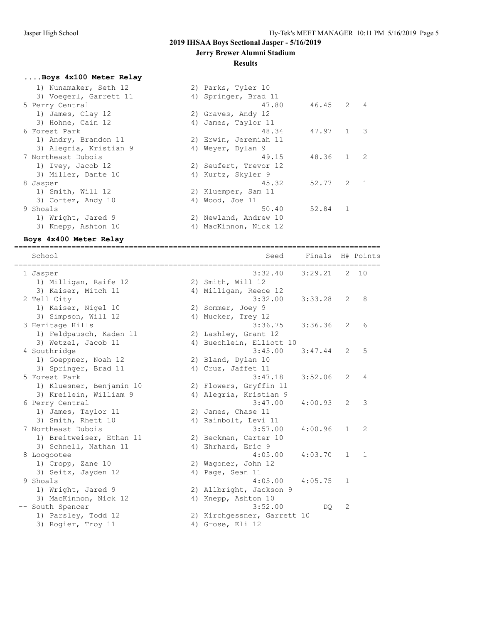#### **Jerry Brewer Alumni Stadium**

#### **Results**

#### **....Boys 4x100 Meter Relay**

| 1) Nunamaker, Seth 12  | 2) Parks, Tyler 10    |             |              |  |
|------------------------|-----------------------|-------------|--------------|--|
| 3) Voegerl, Garrett 11 | 4) Springer, Brad 11  |             |              |  |
| 5 Perry Central        | 47.80                 | $46.45$ 2 4 |              |  |
| 1) James, Clay 12      | 2) Graves, Andy 12    |             |              |  |
| 3) Hohne, Cain 12      | 4) James, Taylor 11   |             |              |  |
| 6 Forest Park          | 48.34                 | 47.97 1 3   |              |  |
| 1) Andry, Brandon 11   | 2) Erwin, Jeremiah 11 |             |              |  |
| 3) Alegria, Kristian 9 | 4) Weyer, Dylan 9     |             |              |  |
| 7 Northeast Dubois     | 49.15                 | 48.36       | $1 \quad 2$  |  |
| 1) Ivey, Jacob 12      | 2) Seufert, Trevor 12 |             |              |  |
| 3) Miller, Dante 10    | 4) Kurtz, Skyler 9    |             |              |  |
| 8 Jasper               | 45.32                 | 52.77       | $2 \quad 1$  |  |
| 1) Smith, Will 12      | 2) Kluemper, Sam 11   |             |              |  |
| 3) Cortez, Andy 10     | 4) Wood, Joe 11       |             |              |  |
| 9 Shoals               | 50.40                 | 52.84       | $\mathbf{1}$ |  |
| 1) Wright, Jared 9     | 2) Newland, Andrew 10 |             |              |  |
| 3) Knepp, Ashton 10    | 4) MacKinnon, Nick 12 |             |              |  |
|                        |                       |             |              |  |

#### **Boys 4x400 Meter Relay**

=================================================================================== School Seed Finals H# Points =================================================================================== 1 Jasper 3:32.40 3:29.21 2 10 1) Milligan, Raife 12 2) Smith, Will 12 3) Kaiser, Mitch 11 4) Milligan, Reece 12 2 Tell City 3:32.00 3:33.28 2 8 1) Kaiser, Nigel 10 2) Sommer, Joey 9 3) Simpson, Will 12 4) Mucker, Trey 12 3 Heritage Hills 3:36.75 3:36.36 2 6 1) Feldpausch, Kaden 11 2) Lashley, Grant 12 3) Wetzel, Jacob 11 4) Buechlein, Elliott 10 4 Southridge 3:45.00 3:47.44 2 5 1) Goeppner, Noah 12 (1950)<br>
1) Goeppner, Noah 12 (2) Bland, Dylan 10<br>
3) Springer, Brad 11 (4) Cruz, Jaffet 11<br>
1) Cruz, Jaffet 11 3) Springer, Brad 11 4) Cruz, Jaffet 11 5 Forest Park 3:47.18 3:52.06 2 4 1) Kluesner, Benjamin 10 2) Flowers, Gryffin 11 3) Kreilein, William 9 4) Alegria, Kristian 9 6 Perry Central 3:47.00 4:00.93 2 3 1) James, Taylor 11 2) James, Chase 11 3) Smith, Rhett 10 (4) Rainbolt, Levi 11 7 Northeast Dubois 3:57.00 4:00.96 1 2 1) Breitweiser, Ethan 11 2) Beckman, Carter 10 3) Schnell, Nathan 11 4) Ehrhard, Eric 9 8 Loogootee 4:05.00 4:03.70 1 1 1) Cropp, Zane 10 2) Wagoner, John 12 3) Seitz, Jayden 12 (4) Page, Sean 11 9 Shoals 4:05.00 4:05.75 1 1) Wright, Jared 9 2) Allbright, Jackson 9 3) MacKinnon, Nick 12 (4) Knepp, Ashton 10 -- South Spencer 3:52.00 DQ 2 1) Parsley, Todd 12 2) Kirchgessner, Garrett 10 3) Rogier, Troy 11 (4) Grose, Eli 12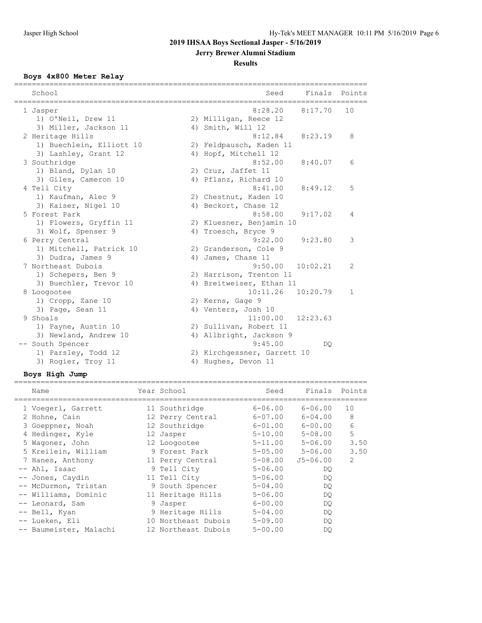**Jerry Brewer Alumni Stadium**

# **Results**

# **Boys 4x800 Meter Relay**

| School<br>=========                          | Finals<br>Seed                                 | ========<br>Points |
|----------------------------------------------|------------------------------------------------|--------------------|
| 1 Jasper                                     | 8:28.20<br>8:17.70                             | 10                 |
| 1) O'Neil, Drew 11<br>3) Miller, Jackson 11  | 2) Milligan, Reece 12<br>4) Smith, Will 12     |                    |
| 2 Heritage Hills                             | 8:12.84<br>8:23.19                             | 8                  |
| 1) Buechlein, Elliott 10                     | 2) Feldpausch, Kaden 11                        |                    |
| 3) Lashley, Grant 12                         | 4) Hopf, Mitchell 12                           |                    |
| 3 Southridge                                 | 8:52.00<br>8:40.07                             | 6                  |
| 1) Bland, Dylan 10                           | 2) Cruz, Jaffet 11                             |                    |
| 3) Giles, Cameron 10                         | 4) Pflanz, Richard 10                          |                    |
| 4 Tell City                                  | 8:41.00<br>8:49.12                             | 5                  |
| 1) Kaufman, Alec 9<br>3) Kaiser, Nigel 10    | 2) Chestnut, Kaden 10<br>4) Beckort, Chase 12  |                    |
| 5 Forest Park                                | 8:58.00<br>9:17.02                             | 4                  |
| 1) Flowers, Gryffin 11                       | 2) Kluesner, Benjamin 10                       |                    |
| 3) Wolf, Spenser 9                           | 4) Troesch, Bryce 9                            |                    |
| 6 Perry Central                              | 9:22.00<br>9:23.80                             | 3                  |
| 1) Mitchell, Patrick 10                      | 2) Granderson, Cole 9                          |                    |
| 3) Dudra, James 9                            | 4) James, Chase 11                             |                    |
| 7 Northeast Dubois                           | 9:50.00<br>10:02.21                            | 2                  |
| 1) Schepers, Ben 9                           | 2) Harrison, Trenton 11                        |                    |
| 3) Buechler, Trevor 10                       | 4) Breitweiser, Ethan 11                       |                    |
| 8 Loogootee                                  | 10:11.26<br>10:20.79                           | $\mathbf{1}$       |
| 1) Cropp, Zane 10                            | 2) Kerns, Gage 9                               |                    |
| 3) Page, Sean 11                             | 4) Venters, Josh 10                            |                    |
| 9 Shoals                                     | 11:00.00<br>12:23.63<br>2) Sullivan, Robert 11 |                    |
| 1) Payne, Austin 10<br>3) Newland, Andrew 10 | 4) Allbright, Jackson 9                        |                    |
| -- South Spencer                             | 9:45.00<br>DO.                                 |                    |
| 1) Parsley, Todd 12                          | 2) Kirchgessner, Garrett 10                    |                    |
| 3) Rogier, Troy 11                           | 4) Hughes, Devon 11                            |                    |
|                                              |                                                |                    |

# **Boys High Jump**

| Name                   | Year School         | Seed        | Finals Points |               |
|------------------------|---------------------|-------------|---------------|---------------|
| 1 Voegerl, Garrett     | 11 Southridge       | $6 - 06.00$ | $6 - 06.00$   | 10            |
| 2 Hohne, Cain          | 12 Perry Central    | $6 - 07.00$ | $6 - 04.00$   | 8             |
| 3 Goeppner, Noah       | 12 Southridge       | $6 - 01.00$ | $6 - 00.00$   | 6             |
| 4 Hedinger, Kyle       | 12 Jasper           | 5-10.00     | $5 - 08.00$   | 5             |
| 5 Waqoner, John        | 12 Loogootee        | $5 - 11.00$ | $5 - 06.00$   | 3.50          |
| 5 Kreilein, William    | 9 Forest Park       | $5 - 05.00$ | 5-06.00       | 3.50          |
| 7 Hanes, Anthony       | 11 Perry Central    | $5 - 08.00$ | $J5 - 06.00$  | $\mathcal{L}$ |
| -- Ahl, Isaac          | 9 Tell City         | $5 - 06.00$ | DO.           |               |
| -- Jones, Caydin       | 11 Tell City        | $5 - 06.00$ | DQ.           |               |
| -- McDurmon, Tristan   | 9 South Spencer     | $5 - 04.00$ | DQ.           |               |
| -- Williams, Dominic   | 11 Heritage Hills   | $5 - 06.00$ | DQ.           |               |
| -- Leonard, Sam        | 9 Jasper            | $6 - 00.00$ | DO.           |               |
| -- Bell, Kyan          | 9 Heritage Hills    | $5 - 04.00$ | DO.           |               |
| -- Lueken, Eli         | 10 Northeast Dubois | $5 - 09.00$ | DO.           |               |
| -- Baumeister, Malachi | 12 Northeast Dubois | $5 - 00.00$ | DO            |               |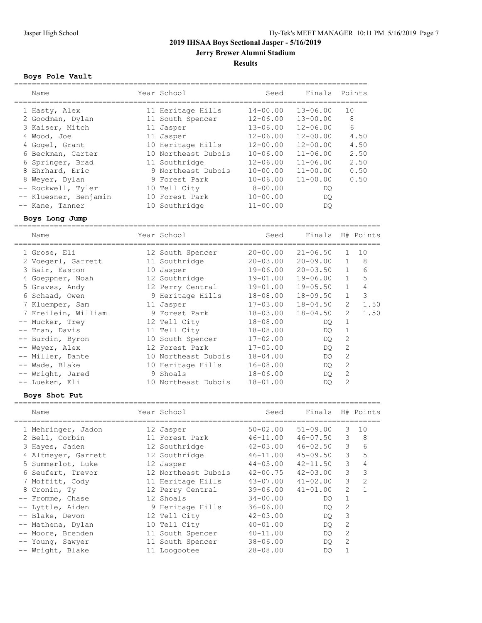**Jerry Brewer Alumni Stadium**

# **Results**

# **Boys Pole Vault**

| Name                  | Year School         | Seed         | Finals       | Points          |
|-----------------------|---------------------|--------------|--------------|-----------------|
|                       |                     |              |              |                 |
| 1 Hasty, Alex         | 11 Heritage Hills   | $14 - 00.00$ | $13 - 06.00$ | 10              |
| 2 Goodman, Dylan      | 11 South Spencer    | $12 - 06.00$ | $13 - 00.00$ | 8               |
| 3 Kaiser, Mitch       | 11 Jasper           | $13 - 06.00$ | $12 - 06.00$ | $6\overline{6}$ |
| 4 Wood, Joe           | 11 Jasper           | $12 - 06.00$ | $12 - 00.00$ | 4.50            |
| 4 Gogel, Grant        | 10 Heritage Hills   | $12 - 00.00$ | $12 - 00.00$ | 4.50            |
| 6 Beckman, Carter     | 10 Northeast Dubois | $10 - 06.00$ | $11 - 06.00$ | 2.50            |
| 6 Springer, Brad      | 11 Southridge       | $12 - 06.00$ | $11 - 06.00$ | 2.50            |
| 8 Ehrhard, Eric       | 9 Northeast Dubois  | $10 - 00.00$ | $11 - 00.00$ | 0.50            |
| 8 Weyer, Dylan        | 9 Forest Park       | $10 - 06.00$ | $11 - 00.00$ | 0.50            |
| -- Rockwell, Tyler    | 10 Tell City        | $8 - 00.00$  | DO           |                 |
| -- Kluesner, Benjamin | 10 Forest Park      | $10 - 00.00$ | DO.          |                 |
| -- Kane, Tanner       | 10 Southridge       | $11 - 00.00$ | DO           |                 |

### **Boys Long Jump**

=================================================================================== Year School Seed Finals H# Points

| <b>IVAILLE</b>      | TEAT ACHAAT         | veeu         | د حساب ت     |                | TIT LUILLO |
|---------------------|---------------------|--------------|--------------|----------------|------------|
| 1 Grose, Eli        | 12 South Spencer    | $20 - 00.00$ | $21 - 06.50$ | $\mathbf{1}$   | 10         |
| 2 Voegerl, Garrett  | 11 Southridge       | $20 - 03.00$ | $20 - 09.00$ | $\mathbf{1}$   | 8          |
| 3 Bair, Easton      | 10 Jasper           | 19-06.00     | $20 - 03.50$ | $\mathbf{1}$   | 6          |
| 4 Goeppner, Noah    | 12 Southridge       | $19 - 01.00$ | 19-06.00     | $\mathbf{1}$   | 5          |
| 5 Graves, Andy      | 12 Perry Central    | 19-01.00     | $19 - 05.50$ | $\mathbf{1}$   | 4          |
| 6 Schaad, Owen      | 9 Heritage Hills    | 18-08.00     | 18-09.50     | $\mathbf{1}$   | 3          |
| 7 Kluemper, Sam     | 11 Jasper           | $17 - 03.00$ | $18 - 04.50$ | $\overline{2}$ | 1.50       |
| 7 Kreilein, William | 9 Forest Park       | $18 - 03.00$ | $18 - 04.50$ | $\mathfrak{L}$ | 1.50       |
| -- Mucker, Trey     | 12 Tell City        | $18 - 08.00$ | DO           | $\mathbf{1}$   |            |
| -- Tran, Davis      | 11 Tell City        | $18 - 08.00$ | DO           | $\mathbf{1}$   |            |
| -- Burdin, Byron    | 10 South Spencer    | $17 - 02.00$ | DQ.          | 2              |            |
| -- Weyer, Alex      | 12 Forest Park      | $17 - 05.00$ | DQ.          | 2              |            |
| -- Miller, Dante    | 10 Northeast Dubois | $18 - 04.00$ | DO           | 2              |            |
| -- Wade, Blake      | 10 Heritage Hills   | $16 - 08.00$ | DO           | 2              |            |
| -- Wright, Jared    | 9 Shoals            | $18 - 06.00$ | DO           | 2              |            |
| -- Lueken, Eli      | 10 Northeast Dubois | $18 - 01.00$ | DO.          | 2              |            |

# **Boys Shot Put**

| Name                | Year School         | Seed         | Finals H# Points |                |                |
|---------------------|---------------------|--------------|------------------|----------------|----------------|
| 1 Mehringer, Jadon  | 12 Jasper           | $50 - 02.00$ | $51 - 09.00$     | 3              | 10             |
| 2 Bell, Corbin      | 11 Forest Park      | 46-11.00     | 46-07.50         | 3              | 8              |
| 3 Hayes, Jaden      | 12 Southridge       | $42 - 03.00$ | $46 - 02.50$     | 3              | 6              |
| 4 Altmeyer, Garrett | 12 Southridge       | $46 - 11.00$ | $45 - 09.50$     | 3              | 5              |
| 5 Summerlot, Luke   | 12 Jasper           | $44 - 05.00$ | $42 - 11.50$     | 3              | 4              |
| 6 Seufert, Trevor   | 12 Northeast Dubois | $42 - 00.75$ | $42 - 03.00$     | 3              | 3              |
| 7 Moffitt, Cody     | 11 Heritage Hills   | 43-07.00     | $41 - 02.00$     | 3              | $\mathfrak{D}$ |
| 8 Cronin, Ty        | 12 Perry Central    | 39-06.00     | $41 - 01.00$     | $\overline{2}$ | $\mathbf{1}$   |
| -- Fromme, Chase    | 12 Shoals           | $34 - 00.00$ | DO               | $\mathbf{1}$   |                |
| -- Lyttle, Aiden    | 9 Heritage Hills    | $36 - 06.00$ | DO.              | 2              |                |
| -- Blake, Devon     | 12 Tell City        | $42 - 03.00$ | DO.              | 3              |                |
| -- Mathena, Dylan   | 10 Tell City        | $40 - 01.00$ | DO.              | 2              |                |
| -- Moore, Brenden   | 11 South Spencer    | $40 - 11.00$ | DO.              | 2              |                |
| -- Young, Sawyer    | 11 South Spencer    | $38 - 06.00$ | DO.              | 2              |                |
| -- Wright, Blake    | 11 Loogootee        | $28 - 08.00$ | DO               |                |                |
|                     |                     |              |                  |                |                |